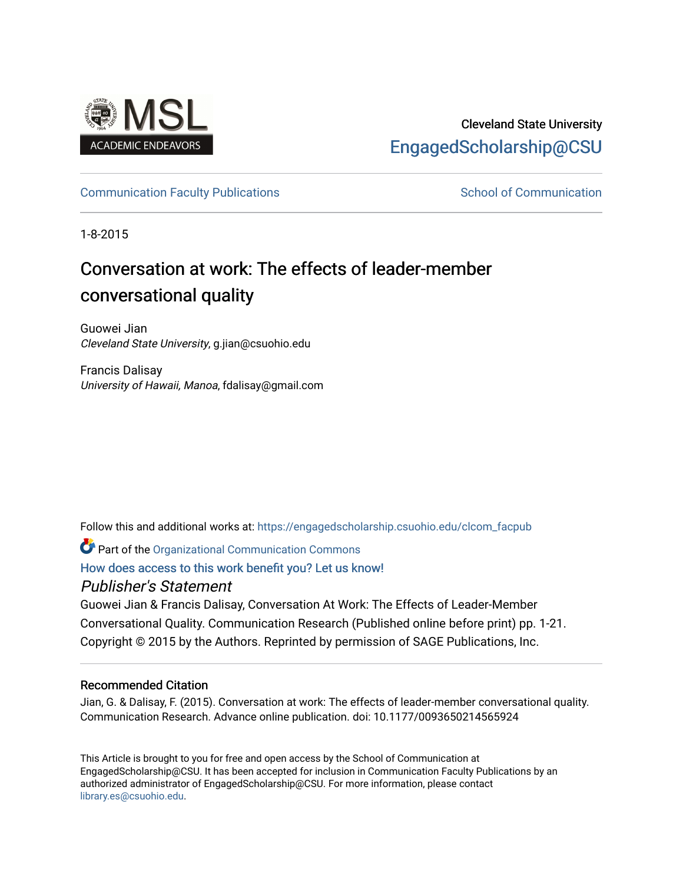

## Cleveland State University [EngagedScholarship@CSU](https://engagedscholarship.csuohio.edu/)

## [Communication Faculty Publications](https://engagedscholarship.csuohio.edu/clcom_facpub) [School of Communication](https://engagedscholarship.csuohio.edu/clcom) School of Communication

1-8-2015

# Conversation at work: The effects of leader-member conversational quality

Guowei Jian Cleveland State University, g.jian@csuohio.edu

Francis Dalisay University of Hawaii, Manoa, fdalisay@gmail.com

Follow this and additional works at: [https://engagedscholarship.csuohio.edu/clcom\\_facpub](https://engagedscholarship.csuohio.edu/clcom_facpub?utm_source=engagedscholarship.csuohio.edu%2Fclcom_facpub%2F2&utm_medium=PDF&utm_campaign=PDFCoverPages) 

Part of the [Organizational Communication Commons](http://network.bepress.com/hgg/discipline/335?utm_source=engagedscholarship.csuohio.edu%2Fclcom_facpub%2F2&utm_medium=PDF&utm_campaign=PDFCoverPages)

[How does access to this work benefit you? Let us know!](http://library.csuohio.edu/engaged/)

## Publisher's Statement

Guowei Jian & Francis Dalisay, Conversation At Work: The Effects of Leader-Member Conversational Quality. Communication Research (Published online before print) pp. 1-21. Copyright © 2015 by the Authors. Reprinted by permission of SAGE Publications, Inc.

## Recommended Citation

Jian, G. & Dalisay, F. (2015). Conversation at work: The effects of leader-member conversational quality. Communication Research. Advance online publication. doi: 10.1177/0093650214565924

This Article is brought to you for free and open access by the School of Communication at EngagedScholarship@CSU. It has been accepted for inclusion in Communication Faculty Publications by an authorized administrator of EngagedScholarship@CSU. For more information, please contact [library.es@csuohio.edu.](mailto:library.es@csuohio.edu)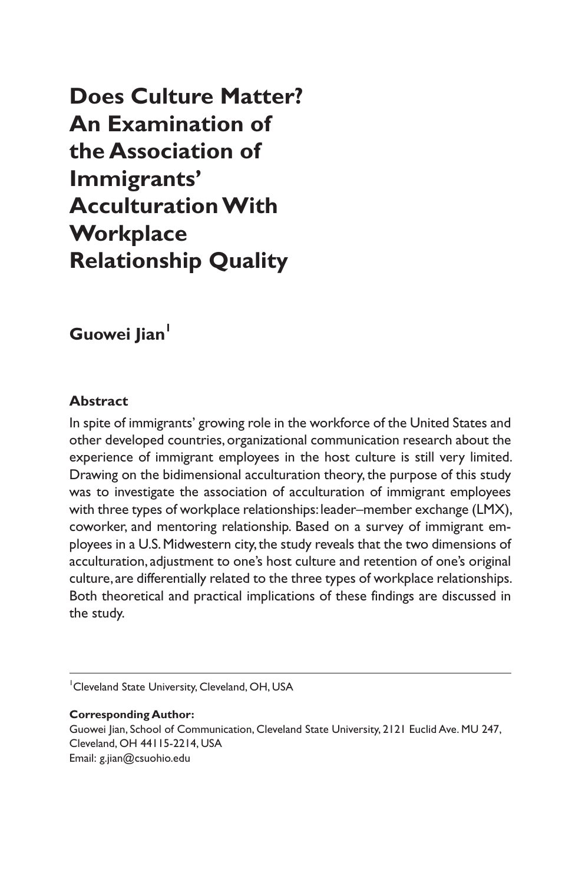**Does Culture Matter? An Examination of the Association of Immigrants' Acculturation With Workplace Relationship Quality**

## **Guowei lian**

#### **Abstract**

In spite of immigrants' growing role in the workforce of the United States and other developed countries, organizational communication research about the experience of immigrant employees in the host culture is still very limited. Drawing on the bidimensional acculturation theory, the purpose of this study was to investigate the association of acculturation of immigrant employees with three types of workplace relationships: leader–member exchange (LMX), coworker, and mentoring relationship. Based on a survey of immigrant employees in a U.S. Midwestern city, the study reveals that the two dimensions of acculturation, adjustment to one's host culture and retention of one's original culture, are differentially related to the three types of workplace relationships. Both theoretical and practical implications of these findings are discussed in the study.

#### **Corresponding Author:**

Guowei Jian, School of Communication, Cleveland State University, 2121 Euclid Ave. MU 247, Cleveland, OH 44115-2214, USA Email: g.jian@csuohio.edu

<sup>&</sup>lt;sup>1</sup> Cleveland State University, Cleveland, OH, USA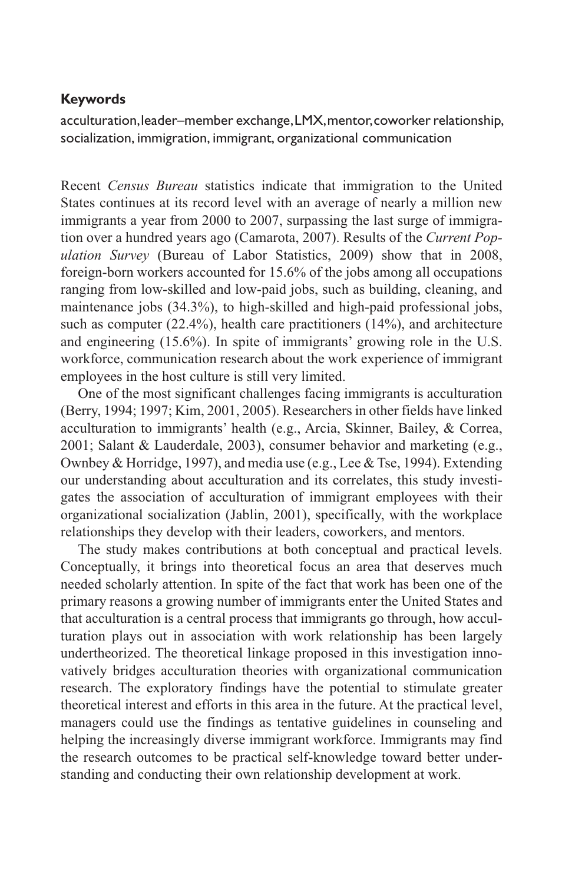#### **Keywords**

acculturation, leader–member exchange, LMX, mentor, coworker relationship, socialization, immigration, immigrant, organizational communication

Recent *Census Bureau* statistics indicate that immigration to the United States continues at its record level with an average of nearly a million new immigrants a year from 2000 to 2007, surpassing the last surge of immigration over a hundred years ago (Camarota, 2007). Results of the *Current Population Survey* (Bureau of Labor Statistics, 2009) show that in 2008, foreign-born workers accounted for 15.6% of the jobs among all occupations ranging from low-skilled and low-paid jobs, such as building, cleaning, and maintenance jobs (34.3%), to high-skilled and high-paid professional jobs, such as computer (22.4%), health care practitioners (14%), and architecture and engineering (15.6%). In spite of immigrants' growing role in the U.S. workforce, communication research about the work experience of immigrant employees in the host culture is still very limited.

One of the most significant challenges facing immigrants is acculturation (Berry, 1994; 1997; Kim, 2001, 2005). Researchers in other fields have linked acculturation to immigrants' health (e.g., Arcia, Skinner, Bailey, & Correa, 2001; Salant & Lauderdale, 2003), consumer behavior and marketing (e.g., Ownbey & Horridge, 1997), and media use (e.g., Lee & Tse, 1994). Extending our understanding about acculturation and its correlates, this study investigates the association of acculturation of immigrant employees with their organizational socialization (Jablin, 2001), specifically, with the workplace relationships they develop with their leaders, coworkers, and mentors.

The study makes contributions at both conceptual and practical levels. Conceptually, it brings into theoretical focus an area that deserves much needed scholarly attention. In spite of the fact that work has been one of the primary reasons a growing number of immigrants enter the United States and that acculturation is a central process that immigrants go through, how acculturation plays out in association with work relationship has been largely undertheorized. The theoretical linkage proposed in this investigation innovatively bridges acculturation theories with organizational communication research. The exploratory findings have the potential to stimulate greater theoretical interest and efforts in this area in the future. At the practical level, managers could use the findings as tentative guidelines in counseling and helping the increasingly diverse immigrant workforce. Immigrants may find the research outcomes to be practical self-knowledge toward better understanding and conducting their own relationship development at work.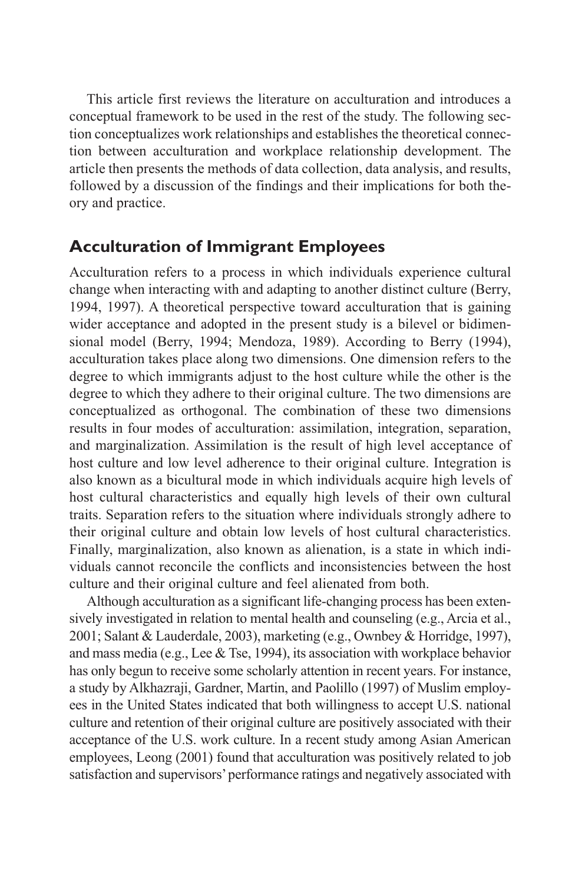This article first reviews the literature on acculturation and introduces a conceptual framework to be used in the rest of the study. The following section conceptualizes work relationships and establishes the theoretical connection between acculturation and workplace relationship development. The article then presents the methods of data collection, data analysis, and results, followed by a discussion of the findings and their implications for both theory and practice.

## **Acculturation of Immigrant Employees**

Acculturation refers to a process in which individuals experience cultural change when interacting with and adapting to another distinct culture (Berry, 1994, 1997). A theoretical perspective toward acculturation that is gaining wider acceptance and adopted in the present study is a bilevel or bidimensional model (Berry, 1994; Mendoza, 1989). According to Berry (1994), acculturation takes place along two dimensions. One dimension refers to the degree to which immigrants adjust to the host culture while the other is the degree to which they adhere to their original culture. The two dimensions are conceptualized as orthogonal. The combination of these two dimensions results in four modes of acculturation: assimilation, integration, separation, and marginalization. Assimilation is the result of high level acceptance of host culture and low level adherence to their original culture. Integration is also known as a bicultural mode in which individuals acquire high levels of host cultural characteristics and equally high levels of their own cultural traits. Separation refers to the situation where individuals strongly adhere to their original culture and obtain low levels of host cultural characteristics. Finally, marginalization, also known as alienation, is a state in which individuals cannot reconcile the conflicts and inconsistencies between the host culture and their original culture and feel alienated from both.

Although acculturation as a significant life-changing process has been extensively investigated in relation to mental health and counseling (e.g., Arcia et al., 2001; Salant & Lauderdale, 2003), marketing (e.g., Ownbey & Horridge, 1997), and mass media (e.g., Lee & Tse, 1994), its association with workplace behavior has only begun to receive some scholarly attention in recent years. For instance, a study by Alkhazraji, Gardner, Martin, and Paolillo (1997) of Muslim employees in the United States indicated that both willingness to accept U.S. national culture and retention of their original culture are positively associated with their acceptance of the U.S. work culture. In a recent study among Asian American employees, Leong (2001) found that acculturation was positively related to job satisfaction and supervisors' performance ratings and negatively associated with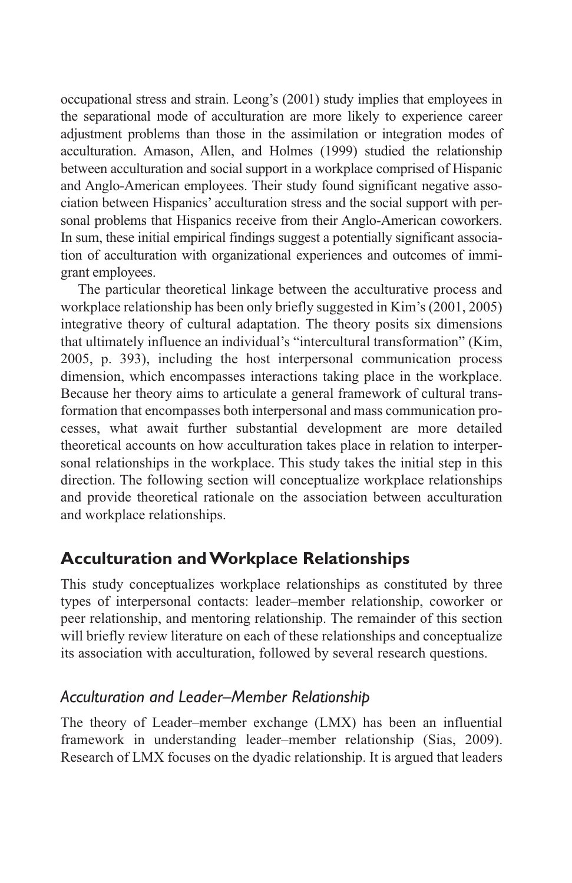occupational stress and strain. Leong's (2001) study implies that employees in the separational mode of acculturation are more likely to experience career adjustment problems than those in the assimilation or integration modes of acculturation. Amason, Allen, and Holmes (1999) studied the relationship between acculturation and social support in a workplace comprised of Hispanic and Anglo-American employees. Their study found significant negative association between Hispanics' acculturation stress and the social support with personal problems that Hispanics receive from their Anglo-American coworkers. In sum, these initial empirical findings suggest a potentially significant association of acculturation with organizational experiences and outcomes of immigrant employees.

The particular theoretical linkage between the acculturative process and workplace relationship has been only briefly suggested in Kim's (2001, 2005) integrative theory of cultural adaptation. The theory posits six dimensions that ultimately influence an individual's "intercultural transformation" (Kim, 2005, p. 393), including the host interpersonal communication process dimension, which encompasses interactions taking place in the workplace. Because her theory aims to articulate a general framework of cultural transformation that encompasses both interpersonal and mass communication processes, what await further substantial development are more detailed theoretical accounts on how acculturation takes place in relation to interpersonal relationships in the workplace. This study takes the initial step in this direction. The following section will conceptualize workplace relationships and provide theoretical rationale on the association between acculturation and workplace relationships.

## **Acculturation and Workplace Relationships**

This study conceptualizes workplace relationships as constituted by three types of interpersonal contacts: leader–member relationship, coworker or peer relationship, and mentoring relationship. The remainder of this section will briefly review literature on each of these relationships and conceptualize its association with acculturation, followed by several research questions.

## *Acculturation and Leader–Member Relationship*

The theory of Leader–member exchange (LMX) has been an influential framework in understanding leader–member relationship (Sias, 2009). Research of LMX focuses on the dyadic relationship. It is argued that leaders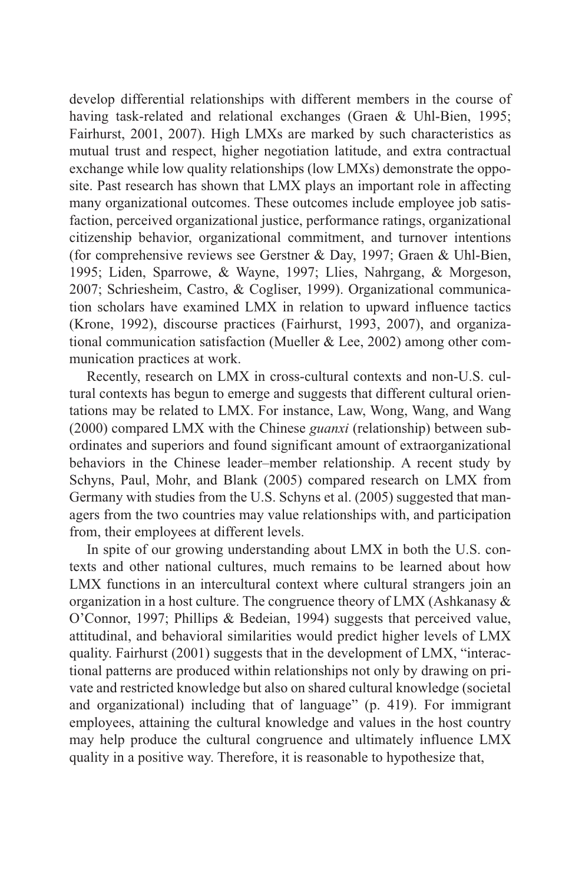develop differential relationships with different members in the course of having task-related and relational exchanges (Graen & Uhl-Bien, 1995; Fairhurst, 2001, 2007). High LMXs are marked by such characteristics as mutual trust and respect, higher negotiation latitude, and extra contractual exchange while low quality relationships (low LMXs) demonstrate the opposite. Past research has shown that LMX plays an important role in affecting many organizational outcomes. These outcomes include employee job satisfaction, perceived organizational justice, performance ratings, organizational citizenship behavior, organizational commitment, and turnover intentions (for comprehensive reviews see Gerstner & Day, 1997; Graen & Uhl-Bien, 1995; Liden, Sparrowe, & Wayne, 1997; Llies, Nahrgang, & Morgeson, 2007; Schriesheim, Castro, & Cogliser, 1999). Organizational communication scholars have examined LMX in relation to upward influence tactics (Krone, 1992), discourse practices (Fairhurst, 1993, 2007), and organizational communication satisfaction (Mueller & Lee, 2002) among other communication practices at work.

Recently, research on LMX in cross-cultural contexts and non-U.S. cultural contexts has begun to emerge and suggests that different cultural orientations may be related to LMX. For instance, Law, Wong, Wang, and Wang (2000) compared LMX with the Chinese *guanxi* (relationship) between subordinates and superiors and found significant amount of extraorganizational behaviors in the Chinese leader–member relationship. A recent study by Schyns, Paul, Mohr, and Blank (2005) compared research on LMX from Germany with studies from the U.S. Schyns et al. (2005) suggested that managers from the two countries may value relationships with, and participation from, their employees at different levels.

In spite of our growing understanding about LMX in both the U.S. contexts and other national cultures, much remains to be learned about how LMX functions in an intercultural context where cultural strangers join an organization in a host culture. The congruence theory of LMX (Ashkanasy & O'Connor, 1997; Phillips & Bedeian, 1994) suggests that perceived value, attitudinal, and behavioral similarities would predict higher levels of LMX quality. Fairhurst (2001) suggests that in the development of LMX, "interactional patterns are produced within relationships not only by drawing on private and restricted knowledge but also on shared cultural knowledge (societal and organizational) including that of language" (p. 419). For immigrant employees, attaining the cultural knowledge and values in the host country may help produce the cultural congruence and ultimately influence LMX quality in a positive way. Therefore, it is reasonable to hypothesize that,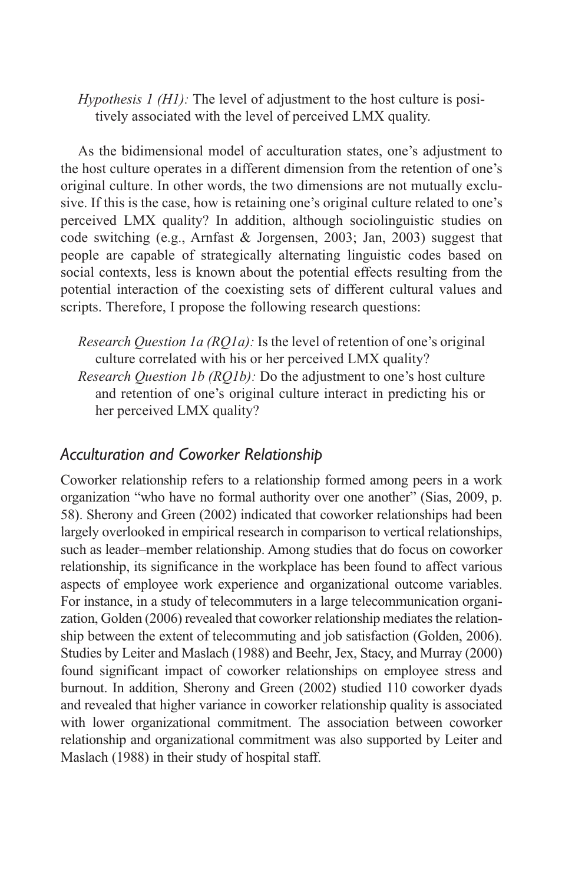*Hypothesis 1 (H1)*: The level of adjustment to the host culture is positively associated with the level of perceived LMX quality.

As the bidimensional model of acculturation states, one's adjustment to the host culture operates in a different dimension from the retention of one's original culture. In other words, the two dimensions are not mutually exclusive. If this is the case, how is retaining one's original culture related to one's perceived LMX quality? In addition, although sociolinguistic studies on code switching (e.g., Arnfast & Jorgensen, 2003; Jan, 2003) suggest that people are capable of strategically alternating linguistic codes based on social contexts, less is known about the potential effects resulting from the potential interaction of the coexisting sets of different cultural values and scripts. Therefore, I propose the following research questions:

*Research Question 1a (RQ1a):* Is the level of retention of one's original culture correlated with his or her perceived LMX quality?

*Research Question 1b (RQ1b):* Do the adjustment to one's host culture and retention of one's original culture interact in predicting his or her perceived LMX quality?

#### *Acculturation and Coworker Relationship*

Coworker relationship refers to a relationship formed among peers in a work organization "who have no formal authority over one another" (Sias, 2009, p. 58). Sherony and Green (2002) indicated that coworker relationships had been largely overlooked in empirical research in comparison to vertical relationships, such as leader–member relationship. Among studies that do focus on coworker relationship, its significance in the workplace has been found to affect various aspects of employee work experience and organizational outcome variables. For instance, in a study of telecommuters in a large telecommunication organization, Golden (2006) revealed that coworker relationship mediates the relationship between the extent of telecommuting and job satisfaction (Golden, 2006). Studies by Leiter and Maslach (1988) and Beehr, Jex, Stacy, and Murray (2000) found significant impact of coworker relationships on employee stress and burnout. In addition, Sherony and Green (2002) studied 110 coworker dyads and revealed that higher variance in coworker relationship quality is associated with lower organizational commitment. The association between coworker relationship and organizational commitment was also supported by Leiter and Maslach (1988) in their study of hospital staff.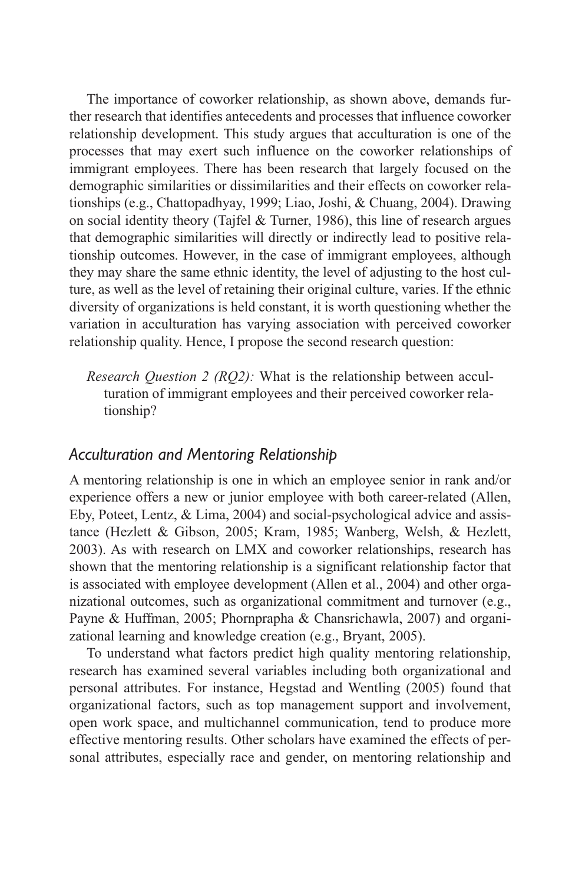The importance of coworker relationship, as shown above, demands further research that identifies antecedents and processes that influence coworker relationship development. This study argues that acculturation is one of the processes that may exert such influence on the coworker relationships of immigrant employees. There has been research that largely focused on the demographic similarities or dissimilarities and their effects on coworker relationships (e.g., Chattopadhyay, 1999; Liao, Joshi, & Chuang, 2004). Drawing on social identity theory (Tajfel & Turner, 1986), this line of research argues that demographic similarities will directly or indirectly lead to positive relationship outcomes. However, in the case of immigrant employees, although they may share the same ethnic identity, the level of adjusting to the host culture, as well as the level of retaining their original culture, varies. If the ethnic diversity of organizations is held constant, it is worth questioning whether the variation in acculturation has varying association with perceived coworker relationship quality. Hence, I propose the second research question:

*Research Question 2 (RQ2):* What is the relationship between acculturation of immigrant employees and their perceived coworker relationship?

#### *Acculturation and Mentoring Relationship*

A mentoring relationship is one in which an employee senior in rank and/or experience offers a new or junior employee with both career-related (Allen, Eby, Poteet, Lentz, & Lima, 2004) and social-psychological advice and assistance (Hezlett & Gibson, 2005; Kram, 1985; Wanberg, Welsh, & Hezlett, 2003). As with research on LMX and coworker relationships, research has shown that the mentoring relationship is a significant relationship factor that is associated with employee development (Allen et al., 2004) and other organizational outcomes, such as organizational commitment and turnover (e.g., Payne & Huffman, 2005; Phornprapha & Chansrichawla, 2007) and organizational learning and knowledge creation (e.g., Bryant, 2005).

To understand what factors predict high quality mentoring relationship, research has examined several variables including both organizational and personal attributes. For instance, Hegstad and Wentling (2005) found that organizational factors, such as top management support and involvement, open work space, and multichannel communication, tend to produce more effective mentoring results. Other scholars have examined the effects of personal attributes, especially race and gender, on mentoring relationship and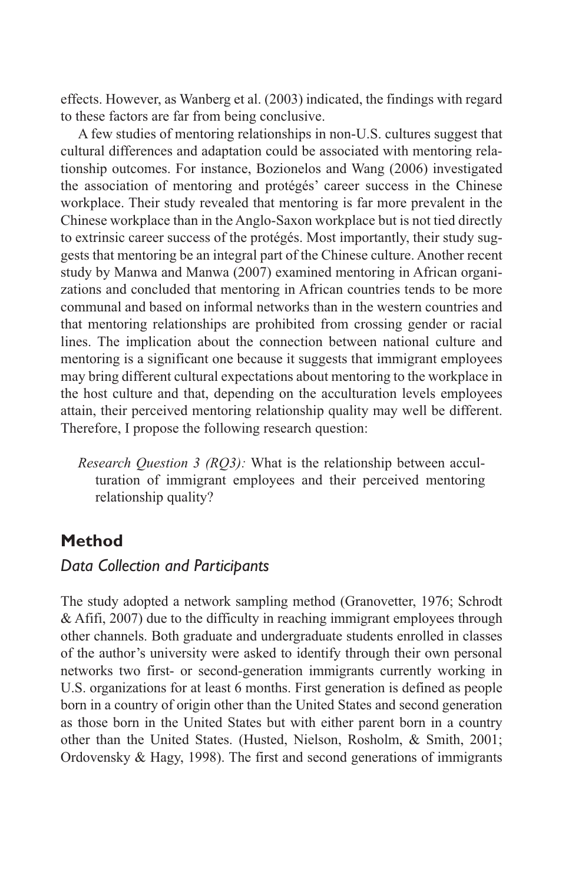effects. However, as Wanberg et al. (2003) indicated, the findings with regard to these factors are far from being conclusive.

A few studies of mentoring relationships in non-U.S. cultures suggest that cultural differences and adaptation could be associated with mentoring relationship outcomes. For instance, Bozionelos and Wang (2006) investigated the association of mentoring and protégés' career success in the Chinese workplace. Their study revealed that mentoring is far more prevalent in the Chinese workplace than in the Anglo-Saxon workplace but is not tied directly to extrinsic career success of the protégés. Most importantly, their study suggests that mentoring be an integral part of the Chinese culture. Another recent study by Manwa and Manwa (2007) examined mentoring in African organizations and concluded that mentoring in African countries tends to be more communal and based on informal networks than in the western countries and that mentoring relationships are prohibited from crossing gender or racial lines. The implication about the connection between national culture and mentoring is a significant one because it suggests that immigrant employees may bring different cultural expectations about mentoring to the workplace in the host culture and that, depending on the acculturation levels employees attain, their perceived mentoring relationship quality may well be different. Therefore, I propose the following research question:

*Research Question 3 (RQ3):* What is the relationship between acculturation of immigrant employees and their perceived mentoring relationship quality?

## **Method**

#### *Data Collection and Participants*

The study adopted a network sampling method (Granovetter, 1976; Schrodt & Afifi, 2007) due to the difficulty in reaching immigrant employees through other channels. Both graduate and undergraduate students enrolled in classes of the author's university were asked to identify through their own personal networks two first- or second-generation immigrants currently working in U.S. organizations for at least 6 months. First generation is defined as people born in a country of origin other than the United States and second generation as those born in the United States but with either parent born in a country other than the United States. (Husted, Nielson, Rosholm, & Smith, 2001; Ordovensky & Hagy, 1998). The first and second generations of immigrants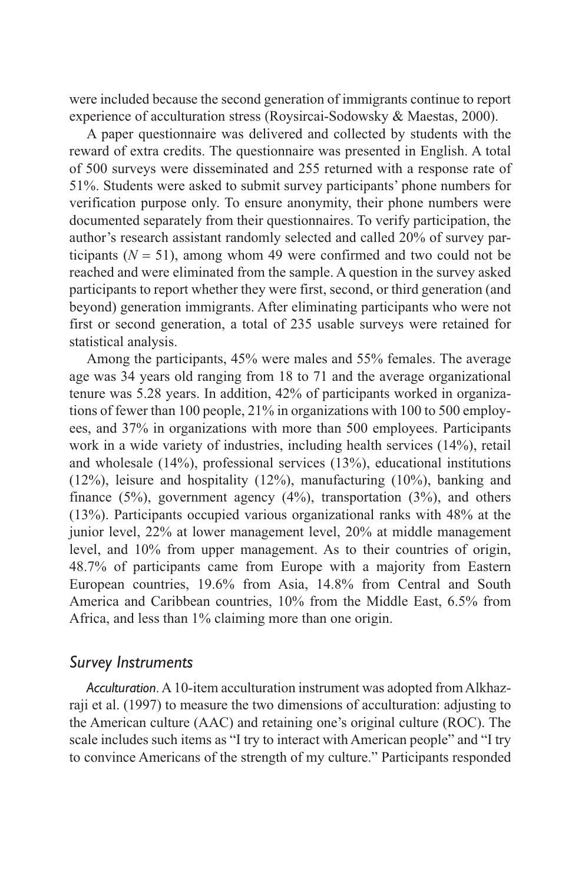were included because the second generation of immigrants continue to report experience of acculturation stress (Roysircai-Sodowsky & Maestas, 2000).

A paper questionnaire was delivered and collected by students with the reward of extra credits. The questionnaire was presented in English. A total of 500 surveys were disseminated and 255 returned with a response rate of 51%. Students were asked to submit survey participants' phone numbers for verification purpose only. To ensure anonymity, their phone numbers were documented separately from their questionnaires. To verify participation, the author's research assistant randomly selected and called 20% of survey participants ( $N = 51$ ), among whom 49 were confirmed and two could not be reached and were eliminated from the sample. A question in the survey asked participants to report whether they were first, second, or third generation (and beyond) generation immigrants. After eliminating participants who were not first or second generation, a total of 235 usable surveys were retained for statistical analysis.

Among the participants, 45% were males and 55% females. The average age was 34 years old ranging from 18 to 71 and the average organizational tenure was 5.28 years. In addition, 42% of participants worked in organizations of fewer than 100 people, 21% in organizations with 100 to 500 employees, and 37% in organizations with more than 500 employees. Participants work in a wide variety of industries, including health services (14%), retail and wholesale (14%), professional services (13%), educational institutions (12%), leisure and hospitality (12%), manufacturing (10%), banking and finance  $(5\%)$ , government agency  $(4\%)$ , transportation  $(3\%)$ , and others (13%). Participants occupied various organizational ranks with 48% at the junior level, 22% at lower management level, 20% at middle management level, and 10% from upper management. As to their countries of origin, 48.7% of participants came from Europe with a majority from Eastern European countries, 19.6% from Asia, 14.8% from Central and South America and Caribbean countries, 10% from the Middle East, 6.5% from Africa, and less than 1% claiming more than one origin.

#### *Survey Instruments*

*Acculturation*. A 10-item acculturation instrument was adopted from Alkhazraji et al. (1997) to measure the two dimensions of acculturation: adjusting to the American culture (AAC) and retaining one's original culture (ROC). The scale includes such items as "I try to interact with American people" and "I try to convince Americans of the strength of my culture." Participants responded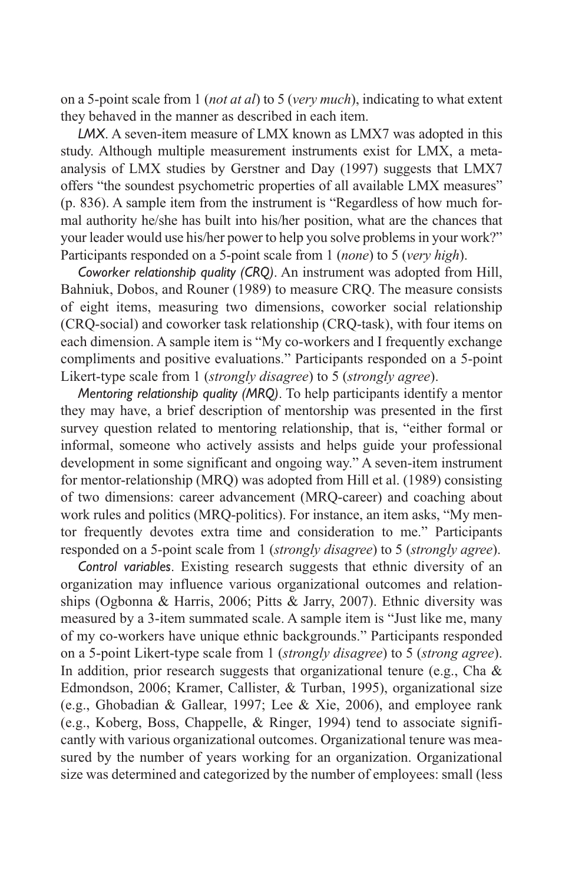on a 5-point scale from 1 (*not at al*) to 5 (*very much*), indicating to what extent they behaved in the manner as described in each item.

*LMX*. A seven-item measure of LMX known as LMX7 was adopted in this study. Although multiple measurement instruments exist for LMX, a metaanalysis of LMX studies by Gerstner and Day (1997) suggests that LMX7 offers "the soundest psychometric properties of all available LMX measures" (p. 836). A sample item from the instrument is "Regardless of how much formal authority he/she has built into his/her position, what are the chances that your leader would use his/her power to help you solve problems in your work?" Participants responded on a 5-point scale from 1 (*none*) to 5 (*very high*).

*Coworker relationship quality (CRQ)*. An instrument was adopted from Hill, Bahniuk, Dobos, and Rouner (1989) to measure CRQ. The measure consists of eight items, measuring two dimensions, coworker social relationship (CRQ-social) and coworker task relationship (CRQ-task), with four items on each dimension. A sample item is "My co-workers and I frequently exchange compliments and positive evaluations." Participants responded on a 5-point Likert-type scale from 1 (*strongly disagree*) to 5 (*strongly agree*).

*Mentoring relationship quality (MRQ)*. To help participants identify a mentor they may have, a brief description of mentorship was presented in the first survey question related to mentoring relationship, that is, "either formal or informal, someone who actively assists and helps guide your professional development in some significant and ongoing way." A seven-item instrument for mentor-relationship (MRQ) was adopted from Hill et al. (1989) consisting of two dimensions: career advancement (MRQ-career) and coaching about work rules and politics (MRQ-politics). For instance, an item asks, "My mentor frequently devotes extra time and consideration to me." Participants responded on a 5-point scale from 1 (*strongly disagree*) to 5 (*strongly agree*).

*Control variables*. Existing research suggests that ethnic diversity of an organization may influence various organizational outcomes and relationships (Ogbonna & Harris, 2006; Pitts & Jarry, 2007). Ethnic diversity was measured by a 3-item summated scale. A sample item is "Just like me, many of my co-workers have unique ethnic backgrounds." Participants responded on a 5-point Likert-type scale from 1 (*strongly disagree*) to 5 (*strong agree*). In addition, prior research suggests that organizational tenure (e.g., Cha  $\&$ Edmondson, 2006; Kramer, Callister, & Turban, 1995), organizational size (e.g., Ghobadian & Gallear, 1997; Lee & Xie, 2006), and employee rank (e.g., Koberg, Boss, Chappelle, & Ringer, 1994) tend to associate significantly with various organizational outcomes. Organizational tenure was measured by the number of years working for an organization. Organizational size was determined and categorized by the number of employees: small (less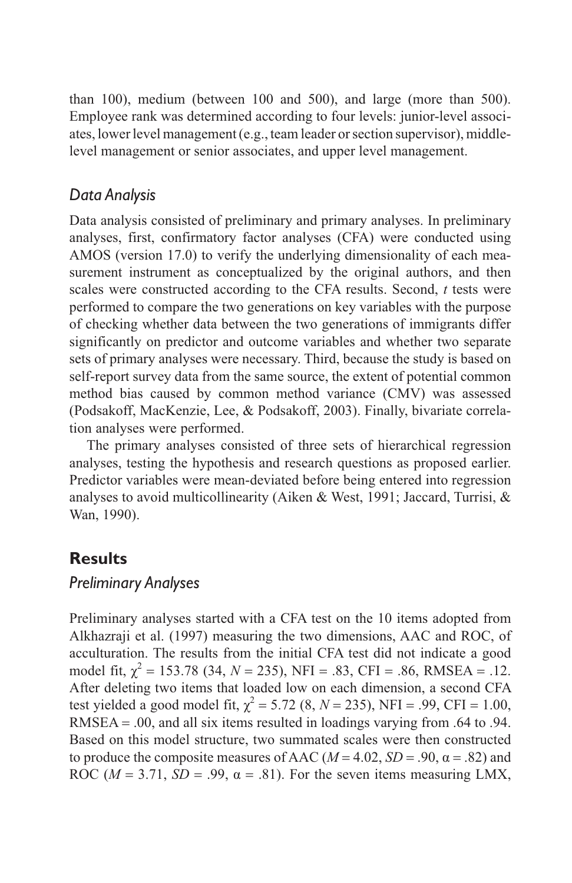than 100), medium (between 100 and 500), and large (more than 500). Employee rank was determined according to four levels: junior-level associates, lower level management (e.g., team leader or section supervisor), middlelevel management or senior associates, and upper level management.

## *Data Analysis*

Data analysis consisted of preliminary and primary analyses. In preliminary analyses, first, confirmatory factor analyses (CFA) were conducted using AMOS (version 17.0) to verify the underlying dimensionality of each measurement instrument as conceptualized by the original authors, and then scales were constructed according to the CFA results. Second, *t* tests were performed to compare the two generations on key variables with the purpose of checking whether data between the two generations of immigrants differ significantly on predictor and outcome variables and whether two separate sets of primary analyses were necessary. Third, because the study is based on self-report survey data from the same source, the extent of potential common method bias caused by common method variance (CMV) was assessed (Podsakoff, MacKenzie, Lee, & Podsakoff, 2003). Finally, bivariate correlation analyses were performed.

The primary analyses consisted of three sets of hierarchical regression analyses, testing the hypothesis and research questions as proposed earlier. Predictor variables were mean-deviated before being entered into regression analyses to avoid multicollinearity (Aiken & West, 1991; Jaccard, Turrisi, & Wan, 1990).

## **Results**

## *Preliminary Analyses*

Preliminary analyses started with a CFA test on the 10 items adopted from Alkhazraji et al. (1997) measuring the two dimensions, AAC and ROC, of acculturation. The results from the initial CFA test did not indicate a good model fit,  $\chi^2$  = 153.78 (34, *N* = 235), NFI = .83, CFI = .86, RMSEA = .12. After deleting two items that loaded low on each dimension, a second CFA test yielded a good model fit,  $\chi^2 = 5.72$  (8,  $N = 235$ ), NFI = .99, CFI = 1.00, RMSEA = .00, and all six items resulted in loadings varying from .64 to .94. Based on this model structure, two summated scales were then constructed to produce the composite measures of AAC ( $M = 4.02$ ,  $SD = .90$ ,  $\alpha = .82$ ) and ROC ( $M = 3.71$ ,  $SD = .99$ ,  $\alpha = .81$ ). For the seven items measuring LMX,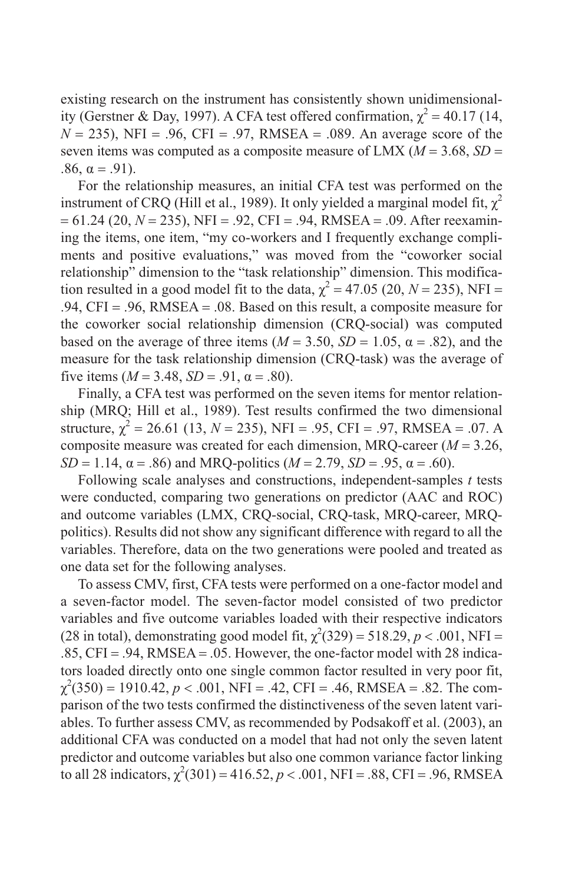existing research on the instrument has consistently shown unidimensionality (Gerstner & Day, 1997). A CFA test offered confirmation,  $\chi^2 = 40.17$  (14,  $N = 235$ ), NFI = .96, CFI = .97, RMSEA = .089. An average score of the seven items was computed as a composite measure of LMX ( $M = 3.68$ ,  $SD =$ .86,  $\alpha = .91$ ).

For the relationship measures, an initial CFA test was performed on the instrument of CRQ (Hill et al., 1989). It only yielded a marginal model fit,  $\chi^2$ = 61.24 (20, *N* = 235), NFI = .92, CFI = .94, RMSEA = .09. After reexamining the items, one item, "my co-workers and I frequently exchange compliments and positive evaluations," was moved from the "coworker social relationship" dimension to the "task relationship" dimension. This modification resulted in a good model fit to the data,  $\chi^2$  = 47.05 (20, *N* = 235), NFI = .94, CFI = .96, RMSEA = .08. Based on this result, a composite measure for the coworker social relationship dimension (CRQ-social) was computed based on the average of three items ( $M = 3.50$ ,  $SD = 1.05$ ,  $\alpha = .82$ ), and the measure for the task relationship dimension (CRQ-task) was the average of five items ( $M = 3.48$ ,  $SD = .91$ ,  $\alpha = .80$ ).

Finally, a CFA test was performed on the seven items for mentor relationship (MRQ; Hill et al., 1989). Test results confirmed the two dimensional structure,  $\chi^2 = 26.61$  (13, *N* = 235), NFI = .95, CFI = .97, RMSEA = .07. A composite measure was created for each dimension, MRQ-career (*M* = 3.26, *SD* = 1.14,  $\alpha$  = .86) and MRQ-politics ( $M = 2.79$ , *SD* = .95,  $\alpha$  = .60).

Following scale analyses and constructions, independent-samples *t* tests were conducted, comparing two generations on predictor (AAC and ROC) and outcome variables (LMX, CRQ-social, CRQ-task, MRQ-career, MRQpolitics). Results did not show any significant difference with regard to all the variables. Therefore, data on the two generations were pooled and treated as one data set for the following analyses.

To assess CMV, first, CFA tests were performed on a one-factor model and a seven-factor model. The seven-factor model consisted of two predictor variables and five outcome variables loaded with their respective indicators (28 in total), demonstrating good model fit,  $\chi^2(329) = 518.29, p < .001, NFI =$ .85, CFI = .94, RMSEA = .05. However, the one-factor model with 28 indicators loaded directly onto one single common factor resulted in very poor fit,  $\chi^2(350) = 1910.42, p < .001, \text{NFI} = .42, \text{CFI} = .46, \text{RMSEA} = .82.$  The comparison of the two tests confirmed the distinctiveness of the seven latent variables. To further assess CMV, as recommended by Podsakoff et al. (2003), an additional CFA was conducted on a model that had not only the seven latent predictor and outcome variables but also one common variance factor linking to all 28 indicators,  $\chi^2(301) = 416.52, p < .001$ , NFI = .88, CFI = .96, RMSEA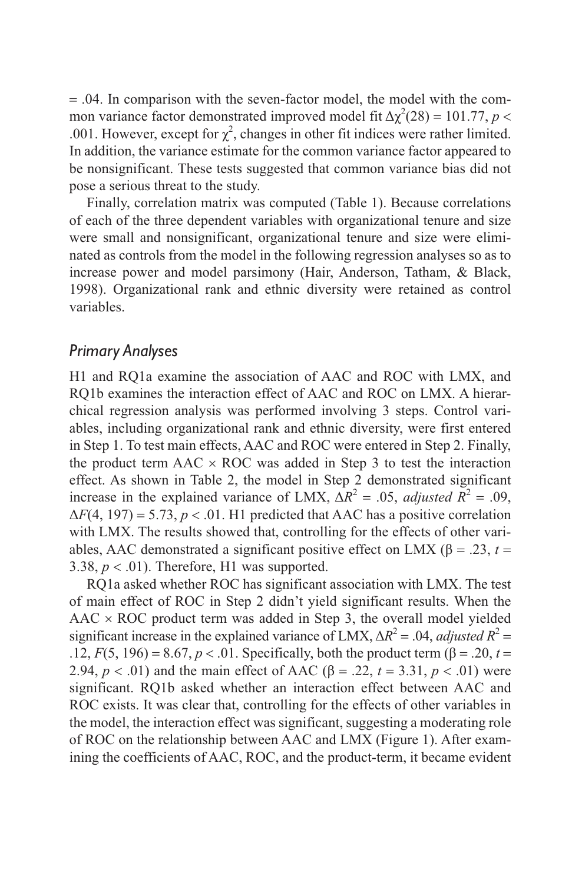= .04. In comparison with the seven-factor model, the model with the common variance factor demonstrated improved model fit  $\Delta \chi^2(28) = 101.77$ , *p* < .001. However, except for  $\chi^2$ , changes in other fit indices were rather limited. In addition, the variance estimate for the common variance factor appeared to be nonsignificant. These tests suggested that common variance bias did not pose a serious threat to the study.

Finally, correlation matrix was computed (Table 1). Because correlations of each of the three dependent variables with organizational tenure and size were small and nonsignificant, organizational tenure and size were eliminated as controls from the model in the following regression analyses so as to increase power and model parsimony (Hair, Anderson, Tatham, & Black, 1998). Organizational rank and ethnic diversity were retained as control variables.

#### *Primary Analyses*

H1 and RQ1a examine the association of AAC and ROC with LMX, and RQ1b examines the interaction effect of AAC and ROC on LMX. A hierarchical regression analysis was performed involving 3 steps. Control variables, including organizational rank and ethnic diversity, were first entered in Step 1. To test main effects, AAC and ROC were entered in Step 2. Finally, the product term  $AAC \times ROC$  was added in Step 3 to test the interaction effect. As shown in Table 2, the model in Step 2 demonstrated significant increase in the explained variance of LMX,  $\Delta R^2 = .05$ , *adjusted*  $R^2 = .09$ ,  $\Delta F(4, 197) = 5.73, p < .01$ . H1 predicted that AAC has a positive correlation with LMX. The results showed that, controlling for the effects of other variables, AAC demonstrated a significant positive effect on LMX ( $\beta$  = .23, *t* = 3.38,  $p < .01$ ). Therefore, H1 was supported.

RQ1a asked whether ROC has significant association with LMX. The test of main effect of ROC in Step 2 didn't yield significant results. When the  $AAC \times ROC$  product term was added in Step 3, the overall model yielded significant increase in the explained variance of LMX,  $\Delta R^2 = .04$ , *adjusted*  $R^2 =$ .12,  $F(5, 196) = 8.67$ ,  $p < .01$ . Specifically, both the product term ( $\beta = .20$ ,  $t =$ 2.94,  $p < .01$ ) and the main effect of AAC ( $\beta = .22$ ,  $t = 3.31$ ,  $p < .01$ ) were significant. RQ1b asked whether an interaction effect between AAC and ROC exists. It was clear that, controlling for the effects of other variables in the model, the interaction effect was significant, suggesting a moderating role of ROC on the relationship between AAC and LMX (Figure 1). After examining the coefficients of AAC, ROC, and the product-term, it became evident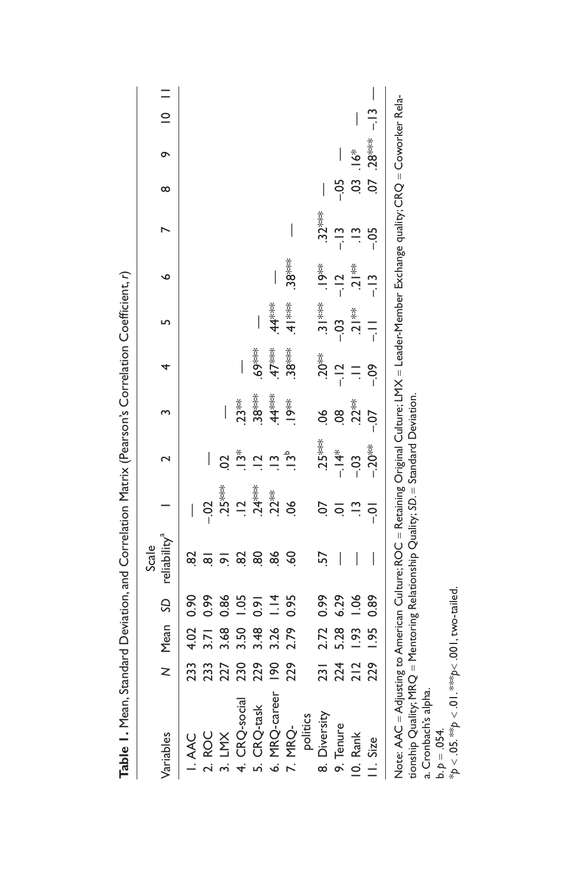| Table 1. Mean, Standard Deviation, and Correlation Matrix (Pearson's Correlation Coefficient, r)                                        |                 |               |                |                                    |                |                     |               |          |                       |                          |                      |                |                |          |  |
|-----------------------------------------------------------------------------------------------------------------------------------------|-----------------|---------------|----------------|------------------------------------|----------------|---------------------|---------------|----------|-----------------------|--------------------------|----------------------|----------------|----------------|----------|--|
|                                                                                                                                         |                 |               |                | Scale                              |                |                     |               |          |                       |                          |                      |                |                |          |  |
| Variables                                                                                                                               |                 |               |                | N Mean SD reliability <sup>a</sup> |                | $\overline{a}$      | $\frac{4}{3}$ |          | $\overline{a}$        | ç                        | N                    | $\infty$       | o              | $\equiv$ |  |
| I.AAC                                                                                                                                   | 233             | 4.02          | 0.90           | 8                                  |                |                     |               |          |                       |                          |                      |                |                |          |  |
| 2. ROC                                                                                                                                  | 233             | 3.71          | 0.99           | <u>ය</u>                           | $-02$          |                     |               |          |                       |                          |                      |                |                |          |  |
| 3. LMX                                                                                                                                  | 227             | 3.68          | 0.86           | $\overline{\sigma}$                | $25***$        | S                   |               |          |                       |                          |                      |                |                |          |  |
| 4. CRQ-social                                                                                                                           | 230             | 3.50          | 1.05           | 82                                 | $\frac{1}{2}$  | $\frac{1}{3}$       | $23**$        |          |                       |                          |                      |                |                |          |  |
| 5. CRQ-task                                                                                                                             | 229             | 3.48          | $\overline{5}$ | 80                                 | $.24***$       | $\frac{1}{2}$       | $38***$       | $.69***$ | I                     |                          |                      |                |                |          |  |
| 6. MRQ-career                                                                                                                           | $\frac{8}{5}$   | 3.26          | $\frac{4}{1}$  | 86                                 | $22**$         | $\frac{1}{2}$       | $44**$        | $47***$  | $44**$                | $\overline{\phantom{a}}$ |                      |                |                |          |  |
| 7. MRQ-                                                                                                                                 | 229             | 2.79          | 0.95           | S.                                 | $\frac{8}{2}$  | $\frac{1}{3}$       | ¦9**          | $.38***$ | $\frac{1}{4}$         | .38*                     |                      |                |                |          |  |
| politics                                                                                                                                |                 |               |                |                                    |                |                     |               |          |                       |                          |                      |                |                |          |  |
| 8. Diversity                                                                                                                            | $\overline{23}$ | 2.72          | 0.99           | 57                                 | $\overline{0}$ | $.25***$            | 8ò            | $20**$   | نغ<br>پ               | **el.                    | $.32***$             |                |                |          |  |
| 9. Tenure                                                                                                                               | 224             | 5.28          | 6.29           |                                    |                | $-14*$              | $\frac{8}{2}$ | $-12$    |                       | $-12$                    | $\frac{3}{1}$        | $-0.5$         |                |          |  |
| 10. Rank                                                                                                                                | 212             | $\frac{3}{2}$ | $\frac{8}{1}$  |                                    |                | $-0.03$             | $22**$        | $\equiv$ | $-3$<br>$\frac{3}{2}$ | $\frac{1}{2}$            | $\tilde{\mathbf{u}}$ | $\ddot{\circ}$ | $rac{16}{1}$   |          |  |
| II. Size                                                                                                                                | 229             | <b>1.95</b>   | 0.89           |                                    | ات<br>ا        | $-20$ <sup>**</sup> | $-0.7$        | $-0.09$  |                       | $\frac{3}{1}$            | $-0.5$               |                | $.07 - 28$ *** | $-13$    |  |
| Note: AAC = Adjusting to American Culture; ROC = Retaining Original Culture; LMX = Leader-Member Exchange quality; CRQ = Coworker Rela- |                 |               |                |                                    |                |                     |               |          |                       |                          |                      |                |                |          |  |

tionship Quality; MRQ = Mentoring Relationship Quality; *SD*. = Standard Deviation. tionship Quality; MRQ = Mentoring Relationship Quality; SD. = Standard Deviation.<br>a. Cronbach's alpha.<br>b.  $p = .054$ .<br>\* $p < .05$ . \*\* $p < .0$  : \*\* $p < .00$  , two-tailed.

a. Cronbach's alpha.

\**p* < .05. \*\**p* < .01. \*\*\**p*< .001, two-tailed.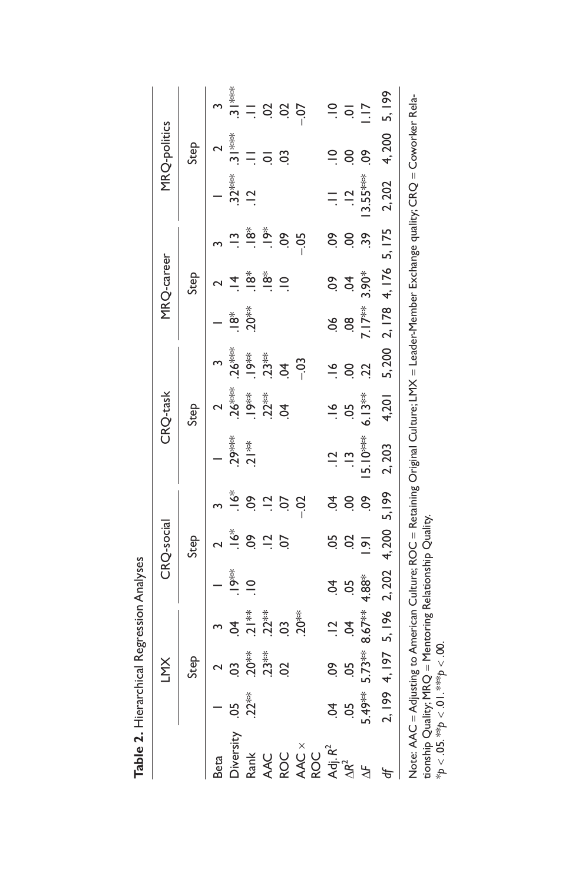|                            |                        | X                  |                                         |            | $CRO$ -social     |                      |                             | $CRQ$ -task                                |                                          |                                        | MRQ-career                 |                  |                       | MRQ-politics   |                                     |
|----------------------------|------------------------|--------------------|-----------------------------------------|------------|-------------------|----------------------|-----------------------------|--------------------------------------------|------------------------------------------|----------------------------------------|----------------------------|------------------|-----------------------|----------------|-------------------------------------|
|                            |                        | Step               |                                         |            | Step              |                      |                             | Step                                       |                                          |                                        | Step                       |                  |                       | Step           |                                     |
| Diversity<br>Beta          | SO.                    |                    |                                         | <b>※10</b> | $\stackrel{*}{=}$ | $\frac{164}{16}$     |                             |                                            |                                          | $\overset{*}{\underline{\mathsf{so}}}$ |                            |                  | $32***$               | **<br>3        |                                     |
| Rank                       | $22**$                 |                    | <b>វ</b> ្មុំ រី<br>ភ្នំ ភ្លំ ភ្លំ ភ្លំ | $\equiv$   | So.               | $\ddot{\mathcal{S}}$ | 29***<br>21**               | $26***$<br>$-19***$<br>$-22**$<br>$-19***$ | $26***$<br>$-19**$<br>$-13**$<br>$-13**$ | $.20^{**}$                             | $\stackrel{*}{=}$          | $rac{8}{9}$      | $\frac{12}{1}$        |                | $\frac{31}{1} = 0.02$               |
| AAC                        |                        | 20**<br>23**<br>23 |                                         |            |                   | $\frac{1}{2}$        |                             |                                            |                                          |                                        |                            | $\sum_{i=1}^{n}$ |                       |                |                                     |
| <b>DO</b>                  |                        |                    |                                         |            | $\frac{1}{2}$ 0.  |                      |                             |                                            |                                          |                                        | $rac{36}{10}$ $rac{5}{10}$ | SO.              |                       | $\ddot{\circ}$ |                                     |
| $AAC \times$<br>ROC        |                        |                    |                                         |            |                   | -02                  |                             |                                            | ဒို                                      |                                        |                            | $-05$            |                       |                | $-0$                                |
| Adj. $R^2$<br>$\Delta R^2$ |                        |                    |                                         |            | Sp                |                      |                             |                                            |                                          |                                        | So.                        | eo.              | $\equiv$              | $\frac{1}{2}$  |                                     |
|                            | <b>4</b><br>5<br>5.49* | ືອ ອ               | $\frac{1}{2}$ $\frac{1}{2}$             | 8 p        | $\overline{c}$    | g g                  | $\frac{1}{2}$ $\frac{1}{2}$ | $rac{6}{10}$                               | <u>'</u> s ¤                             | 8 g                                    | $\overline{5}$             | O.               |                       | S.             | $rac{1}{2}$ $rac{1}{2}$ $rac{1}{2}$ |
| $\overline{a}$             |                        | $5.73**$           | $8.67***$                               | 4.88*      | 1.91              | $\overline{0}$       | $5.10***$                   | $6.13**$                                   |                                          | 7.17**                                 | $3.90*$                    | 39               | $\frac{12}{13.55***}$ | S.             |                                     |
|                            | 2, 199                 | 4, 197             | 5, 196                                  | 2, 202     | 4,200             | 5,199                | 2,203                       | 4,201                                      | 5,200                                    | 2, 178 4, 176                          |                            | 5, 175           | 2, 202                | 4,200          | 5, 199                              |

Table 2. Hierarchical Regression Analyses **Table 2.** Hierarchical Regression Analyses

tionship Quality; MRQ = Mentoring Relationship Quality.<br>\*p < .05. \*\*p < .01. \*\*\*p < .00. tionship Quality; MRQ = Mentoring Relationship Quality. \**p* < .05. \*\**p* < .01. \*\*\**p* < .00.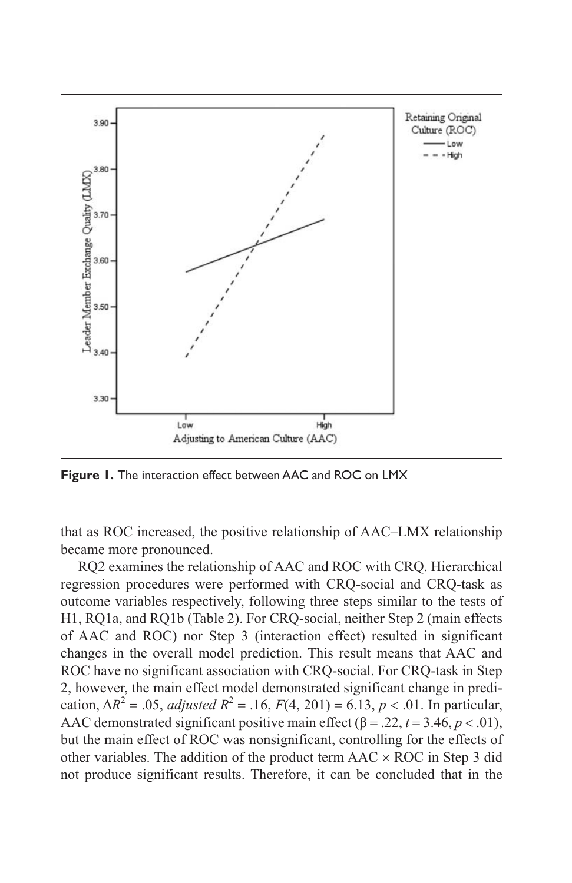

**Figure 1.** The interaction effect between AAC and ROC on LMX

that as ROC increased, the positive relationship of AAC–LMX relationship became more pronounced.

RQ2 examines the relationship of AAC and ROC with CRQ. Hierarchical regression procedures were performed with CRQ-social and CRQ-task as outcome variables respectively, following three steps similar to the tests of H1, RQ1a, and RQ1b (Table 2). For CRQ-social, neither Step 2 (main effects of AAC and ROC) nor Step 3 (interaction effect) resulted in significant changes in the overall model prediction. This result means that AAC and ROC have no significant association with CRQ-social. For CRQ-task in Step 2, however, the main effect model demonstrated significant change in predication,  $\Delta R^2 = .05$ , *adjusted*  $R^2 = .16$ ,  $F(4, 201) = 6.13$ ,  $p < .01$ . In particular, AAC demonstrated significant positive main effect  $(\beta = .22, t = 3.46, p < .01)$ , but the main effect of ROC was nonsignificant, controlling for the effects of other variables. The addition of the product term  $AAC \times ROC$  in Step 3 did not produce significant results. Therefore, it can be concluded that in the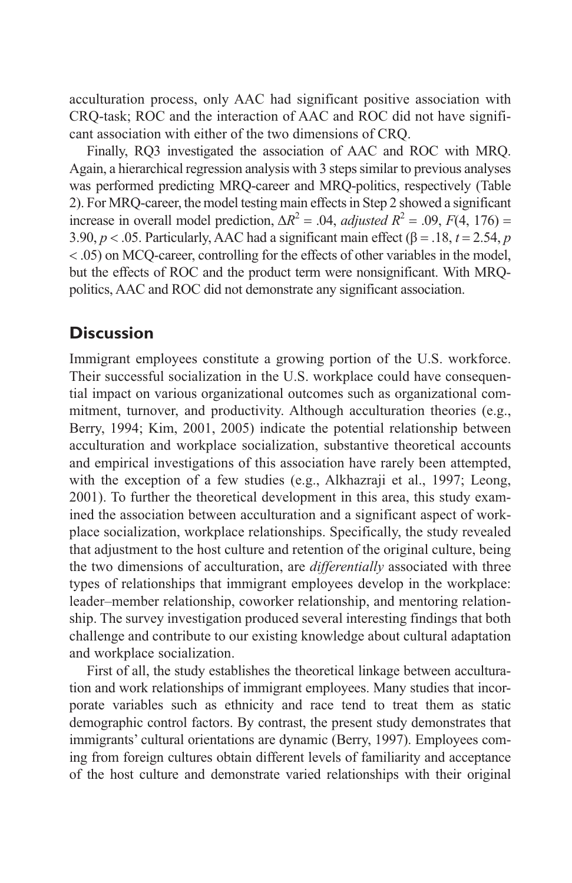acculturation process, only AAC had significant positive association with CRQ-task; ROC and the interaction of AAC and ROC did not have significant association with either of the two dimensions of CRQ.

Finally, RQ3 investigated the association of AAC and ROC with MRQ. Again, a hierarchical regression analysis with 3 steps similar to previous analyses was performed predicting MRQ-career and MRQ-politics, respectively (Table 2). For MRQ-career, the model testing main effects in Step 2 showed a significant increase in overall model prediction,  $\Delta R^2 = .04$ , *adjusted*  $R^2 = .09$ ,  $F(4, 176) =$ 3.90,  $p < .05$ . Particularly, AAC had a significant main effect ( $\beta = .18$ ,  $t = 2.54$ ,  $p$ ) < .05) on MCQ-career, controlling for the effects of other variables in the model, but the effects of ROC and the product term were nonsignificant. With MRQpolitics, AAC and ROC did not demonstrate any significant association.

## **Discussion**

Immigrant employees constitute a growing portion of the U.S. workforce. Their successful socialization in the U.S. workplace could have consequential impact on various organizational outcomes such as organizational commitment, turnover, and productivity. Although acculturation theories (e.g., Berry, 1994; Kim, 2001, 2005) indicate the potential relationship between acculturation and workplace socialization, substantive theoretical accounts and empirical investigations of this association have rarely been attempted, with the exception of a few studies (e.g., Alkhazraji et al., 1997; Leong, 2001). To further the theoretical development in this area, this study examined the association between acculturation and a significant aspect of workplace socialization, workplace relationships. Specifically, the study revealed that adjustment to the host culture and retention of the original culture, being the two dimensions of acculturation, are *differentially* associated with three types of relationships that immigrant employees develop in the workplace: leader–member relationship, coworker relationship, and mentoring relationship. The survey investigation produced several interesting findings that both challenge and contribute to our existing knowledge about cultural adaptation and workplace socialization.

First of all, the study establishes the theoretical linkage between acculturation and work relationships of immigrant employees. Many studies that incorporate variables such as ethnicity and race tend to treat them as static demographic control factors. By contrast, the present study demonstrates that immigrants' cultural orientations are dynamic (Berry, 1997). Employees coming from foreign cultures obtain different levels of familiarity and acceptance of the host culture and demonstrate varied relationships with their original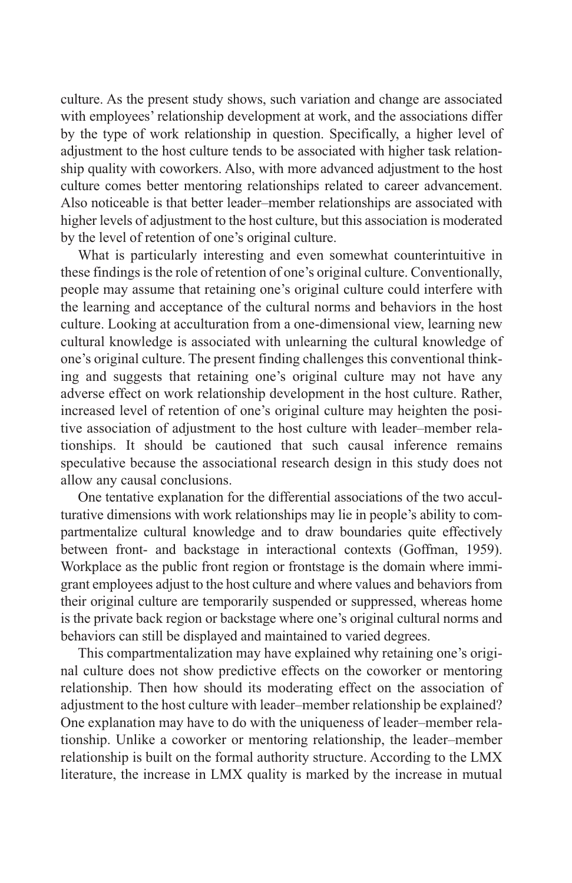culture. As the present study shows, such variation and change are associated with employees' relationship development at work, and the associations differ by the type of work relationship in question. Specifically, a higher level of adjustment to the host culture tends to be associated with higher task relationship quality with coworkers. Also, with more advanced adjustment to the host culture comes better mentoring relationships related to career advancement. Also noticeable is that better leader–member relationships are associated with higher levels of adjustment to the host culture, but this association is moderated by the level of retention of one's original culture.

What is particularly interesting and even somewhat counterintuitive in these findings is the role of retention of one's original culture. Conventionally, people may assume that retaining one's original culture could interfere with the learning and acceptance of the cultural norms and behaviors in the host culture. Looking at acculturation from a one-dimensional view, learning new cultural knowledge is associated with unlearning the cultural knowledge of one's original culture. The present finding challenges this conventional thinking and suggests that retaining one's original culture may not have any adverse effect on work relationship development in the host culture. Rather, increased level of retention of one's original culture may heighten the positive association of adjustment to the host culture with leader–member relationships. It should be cautioned that such causal inference remains speculative because the associational research design in this study does not allow any causal conclusions.

One tentative explanation for the differential associations of the two acculturative dimensions with work relationships may lie in people's ability to compartmentalize cultural knowledge and to draw boundaries quite effectively between front- and backstage in interactional contexts (Goffman, 1959). Workplace as the public front region or frontstage is the domain where immigrant employees adjust to the host culture and where values and behaviors from their original culture are temporarily suspended or suppressed, whereas home is the private back region or backstage where one's original cultural norms and behaviors can still be displayed and maintained to varied degrees.

This compartmentalization may have explained why retaining one's original culture does not show predictive effects on the coworker or mentoring relationship. Then how should its moderating effect on the association of adjustment to the host culture with leader–member relationship be explained? One explanation may have to do with the uniqueness of leader–member relationship. Unlike a coworker or mentoring relationship, the leader–member relationship is built on the formal authority structure. According to the LMX literature, the increase in LMX quality is marked by the increase in mutual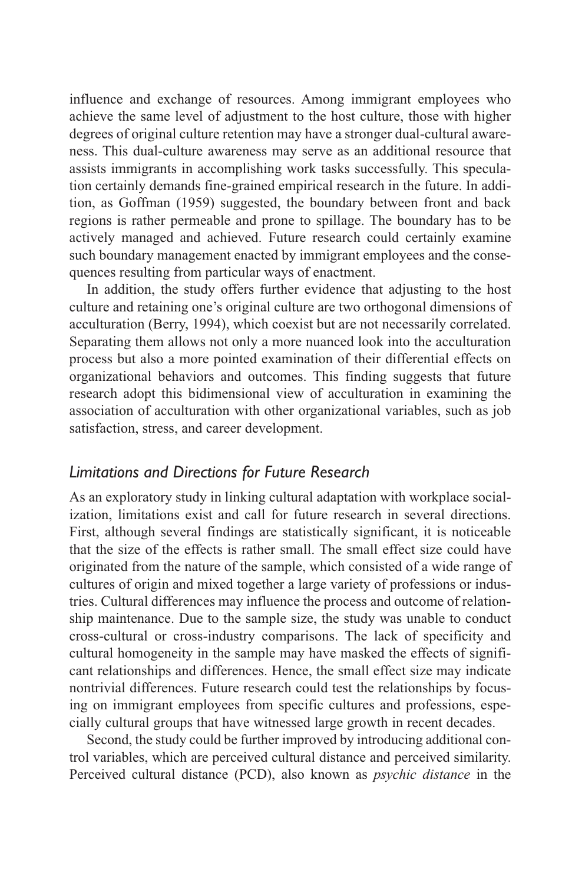influence and exchange of resources. Among immigrant employees who achieve the same level of adjustment to the host culture, those with higher degrees of original culture retention may have a stronger dual-cultural awareness. This dual-culture awareness may serve as an additional resource that assists immigrants in accomplishing work tasks successfully. This speculation certainly demands fine-grained empirical research in the future. In addition, as Goffman (1959) suggested, the boundary between front and back regions is rather permeable and prone to spillage. The boundary has to be actively managed and achieved. Future research could certainly examine such boundary management enacted by immigrant employees and the consequences resulting from particular ways of enactment.

In addition, the study offers further evidence that adjusting to the host culture and retaining one's original culture are two orthogonal dimensions of acculturation (Berry, 1994), which coexist but are not necessarily correlated. Separating them allows not only a more nuanced look into the acculturation process but also a more pointed examination of their differential effects on organizational behaviors and outcomes. This finding suggests that future research adopt this bidimensional view of acculturation in examining the association of acculturation with other organizational variables, such as job satisfaction, stress, and career development.

#### *Limitations and Directions for Future Research*

As an exploratory study in linking cultural adaptation with workplace socialization, limitations exist and call for future research in several directions. First, although several findings are statistically significant, it is noticeable that the size of the effects is rather small. The small effect size could have originated from the nature of the sample, which consisted of a wide range of cultures of origin and mixed together a large variety of professions or industries. Cultural differences may influence the process and outcome of relationship maintenance. Due to the sample size, the study was unable to conduct cross-cultural or cross-industry comparisons. The lack of specificity and cultural homogeneity in the sample may have masked the effects of significant relationships and differences. Hence, the small effect size may indicate nontrivial differences. Future research could test the relationships by focusing on immigrant employees from specific cultures and professions, especially cultural groups that have witnessed large growth in recent decades.

Second, the study could be further improved by introducing additional control variables, which are perceived cultural distance and perceived similarity. Perceived cultural distance (PCD), also known as *psychic distance* in the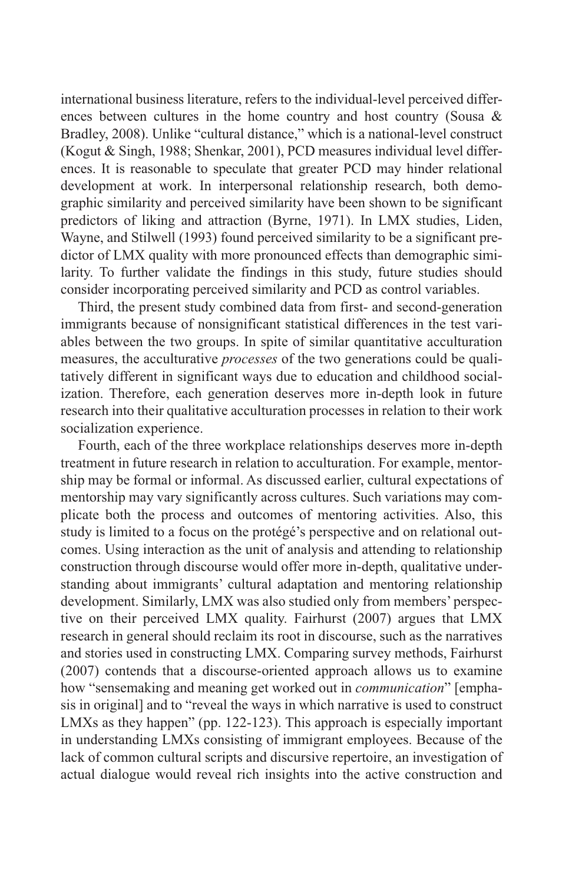international business literature, refers to the individual-level perceived differences between cultures in the home country and host country (Sousa & Bradley, 2008). Unlike "cultural distance," which is a national-level construct (Kogut & Singh, 1988; Shenkar, 2001), PCD measures individual level differences. It is reasonable to speculate that greater PCD may hinder relational development at work. In interpersonal relationship research, both demographic similarity and perceived similarity have been shown to be significant predictors of liking and attraction (Byrne, 1971). In LMX studies, Liden, Wayne, and Stilwell (1993) found perceived similarity to be a significant predictor of LMX quality with more pronounced effects than demographic similarity. To further validate the findings in this study, future studies should consider incorporating perceived similarity and PCD as control variables.

Third, the present study combined data from first- and second-generation immigrants because of nonsignificant statistical differences in the test variables between the two groups. In spite of similar quantitative acculturation measures, the acculturative *processes* of the two generations could be qualitatively different in significant ways due to education and childhood socialization. Therefore, each generation deserves more in-depth look in future research into their qualitative acculturation processes in relation to their work socialization experience.

Fourth, each of the three workplace relationships deserves more in-depth treatment in future research in relation to acculturation. For example, mentorship may be formal or informal. As discussed earlier, cultural expectations of mentorship may vary significantly across cultures. Such variations may complicate both the process and outcomes of mentoring activities. Also, this study is limited to a focus on the protégé's perspective and on relational outcomes. Using interaction as the unit of analysis and attending to relationship construction through discourse would offer more in-depth, qualitative understanding about immigrants' cultural adaptation and mentoring relationship development. Similarly, LMX was also studied only from members' perspective on their perceived LMX quality. Fairhurst (2007) argues that LMX research in general should reclaim its root in discourse, such as the narratives and stories used in constructing LMX. Comparing survey methods, Fairhurst (2007) contends that a discourse-oriented approach allows us to examine how "sensemaking and meaning get worked out in *communication*" [emphasis in original] and to "reveal the ways in which narrative is used to construct LMXs as they happen" (pp. 122-123). This approach is especially important in understanding LMXs consisting of immigrant employees. Because of the lack of common cultural scripts and discursive repertoire, an investigation of actual dialogue would reveal rich insights into the active construction and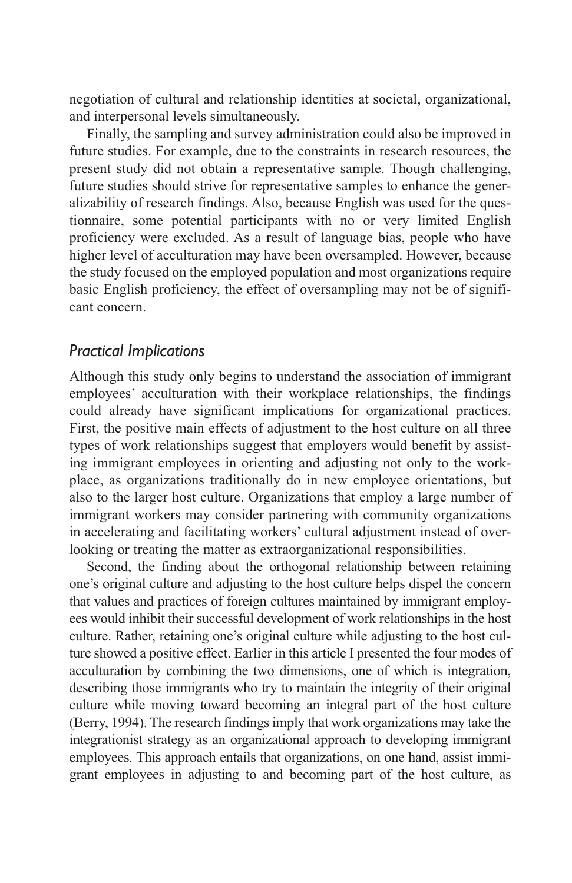negotiation of cultural and relationship identities at societal, organizational, and interpersonal levels simultaneously.

Finally, the sampling and survey administration could also be improved in future studies. For example, due to the constraints in research resources, the present study did not obtain a representative sample. Though challenging, future studies should strive for representative samples to enhance the generalizability of research findings. Also, because English was used for the questionnaire, some potential participants with no or very limited English proficiency were excluded. As a result of language bias, people who have higher level of acculturation may have been oversampled. However, because the study focused on the employed population and most organizations require basic English proficiency, the effect of oversampling may not be of significant concern.

#### *Practical Implications*

Although this study only begins to understand the association of immigrant employees' acculturation with their workplace relationships, the findings could already have significant implications for organizational practices. First, the positive main effects of adjustment to the host culture on all three types of work relationships suggest that employers would benefit by assisting immigrant employees in orienting and adjusting not only to the workplace, as organizations traditionally do in new employee orientations, but also to the larger host culture. Organizations that employ a large number of immigrant workers may consider partnering with community organizations in accelerating and facilitating workers' cultural adjustment instead of overlooking or treating the matter as extraorganizational responsibilities.

Second, the finding about the orthogonal relationship between retaining one's original culture and adjusting to the host culture helps dispel the concern that values and practices of foreign cultures maintained by immigrant employees would inhibit their successful development of work relationships in the host culture. Rather, retaining one's original culture while adjusting to the host culture showed a positive effect. Earlier in this article I presented the four modes of acculturation by combining the two dimensions, one of which is integration, describing those immigrants who try to maintain the integrity of their original culture while moving toward becoming an integral part of the host culture (Berry, 1994). The research findings imply that work organizations may take the integrationist strategy as an organizational approach to developing immigrant employees. This approach entails that organizations, on one hand, assist immigrant employees in adjusting to and becoming part of the host culture, as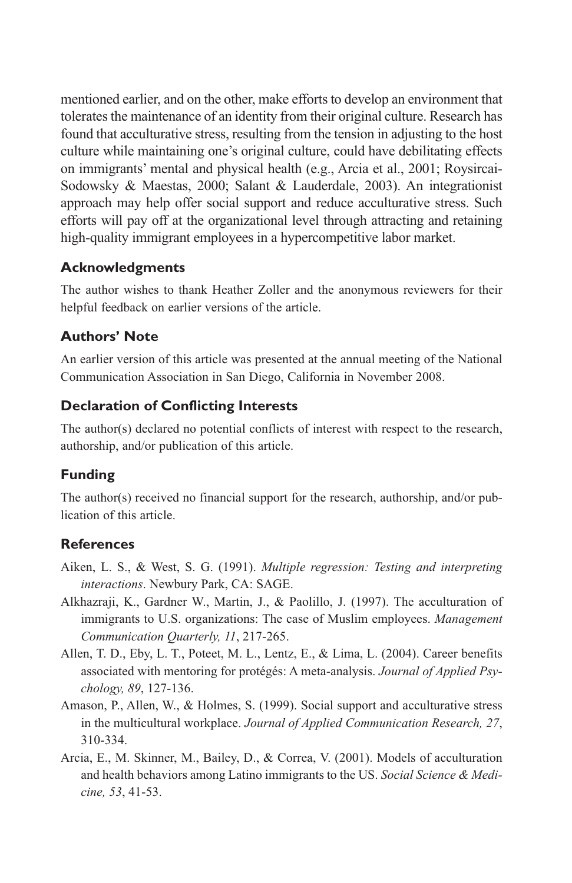mentioned earlier, and on the other, make efforts to develop an environment that tolerates the maintenance of an identity from their original culture. Research has found that acculturative stress, resulting from the tension in adjusting to the host culture while maintaining one's original culture, could have debilitating effects on immigrants' mental and physical health (e.g., Arcia et al., 2001; Roysircai-Sodowsky & Maestas, 2000; Salant & Lauderdale, 2003). An integrationist approach may help offer social support and reduce acculturative stress. Such efforts will pay off at the organizational level through attracting and retaining high-quality immigrant employees in a hypercompetitive labor market.

#### **Acknowledgments**

The author wishes to thank Heather Zoller and the anonymous reviewers for their helpful feedback on earlier versions of the article.

## **Authors' Note**

An earlier version of this article was presented at the annual meeting of the National Communication Association in San Diego, California in November 2008.

#### **Declaration of Conflicting Interests**

The author(s) declared no potential conflicts of interest with respect to the research, authorship, and/or publication of this article.

#### **Funding**

The author(s) received no financial support for the research, authorship, and/or publication of this article.

#### **References**

- Aiken, L. S., & West, S. G. (1991). *Multiple regression: Testing and interpreting interactions*. Newbury Park, CA: SAGE.
- Alkhazraji, K., Gardner W., Martin, J., & Paolillo, J. (1997). The acculturation of immigrants to U.S. organizations: The case of Muslim employees. *Management Communication Quarterly, 11*, 217-265.
- Allen, T. D., Eby, L. T., Poteet, M. L., Lentz, E., & Lima, L. (2004). Career benefits associated with mentoring for protégés: A meta-analysis. *Journal of Applied Psychology, 89*, 127-136.
- Amason, P., Allen, W., & Holmes, S. (1999). Social support and acculturative stress in the multicultural workplace. *Journal of Applied Communication Research, 27*, 310-334.
- Arcia, E., M. Skinner, M., Bailey, D., & Correa, V. (2001). Models of acculturation and health behaviors among Latino immigrants to the US. *Social Science & Medicine, 53*, 41-53.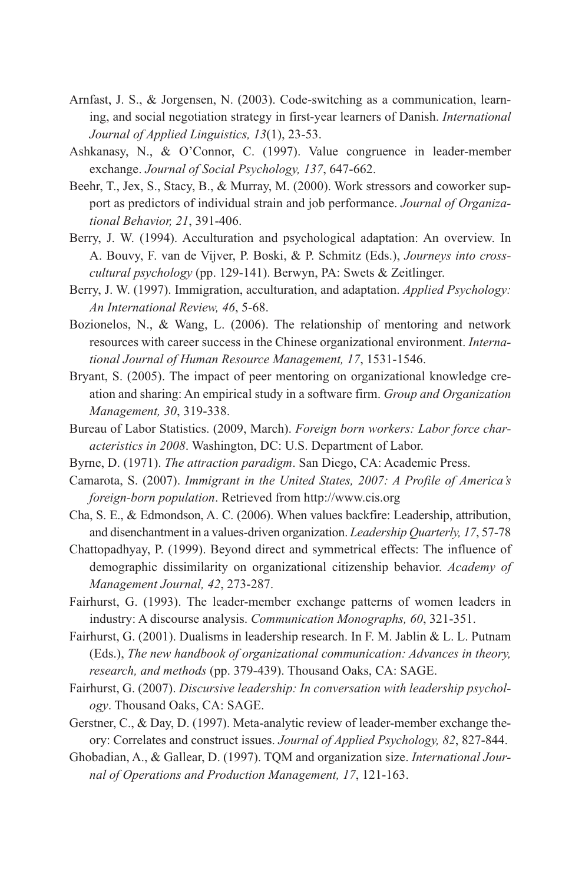- Arnfast, J. S., & Jorgensen, N. (2003). Code-switching as a communication, learning, and social negotiation strategy in first-year learners of Danish. *International Journal of Applied Linguistics, 13*(1), 23-53.
- Ashkanasy, N., & O'Connor, C. (1997). Value congruence in leader-member exchange. *Journal of Social Psychology, 137*, 647-662.
- Beehr, T., Jex, S., Stacy, B., & Murray, M. (2000). Work stressors and coworker support as predictors of individual strain and job performance. *Journal of Organizational Behavior, 21*, 391-406.
- Berry, J. W. (1994). Acculturation and psychological adaptation: An overview. In A. Bouvy, F. van de Vijver, P. Boski, & P. Schmitz (Eds.), *Journeys into crosscultural psychology* (pp. 129-141). Berwyn, PA: Swets & Zeitlinger.
- Berry, J. W. (1997). Immigration, acculturation, and adaptation. *Applied Psychology: An International Review, 46*, 5-68.
- Bozionelos, N., & Wang, L. (2006). The relationship of mentoring and network resources with career success in the Chinese organizational environment. *International Journal of Human Resource Management, 17*, 1531-1546.
- Bryant, S. (2005). The impact of peer mentoring on organizational knowledge creation and sharing: An empirical study in a software firm. *Group and Organization Management, 30*, 319-338.
- Bureau of Labor Statistics. (2009, March). *Foreign born workers: Labor force characteristics in 2008*. Washington, DC: U.S. Department of Labor.
- Byrne, D. (1971). *The attraction paradigm*. San Diego, CA: Academic Press.
- Camarota, S. (2007). *Immigrant in the United States, 2007: A Profile of America's foreign-born population*. Retrieved from http://www.cis.org
- Cha, S. E., & Edmondson, A. C. (2006). When values backfire: Leadership, attribution, and disenchantment in a values-driven organization. *Leadership Quarterly, 17*, 57-78
- Chattopadhyay, P. (1999). Beyond direct and symmetrical effects: The influence of demographic dissimilarity on organizational citizenship behavior. *Academy of Management Journal, 42*, 273-287.
- Fairhurst, G. (1993). The leader-member exchange patterns of women leaders in industry: A discourse analysis. *Communication Monographs, 60*, 321-351.
- Fairhurst, G. (2001). Dualisms in leadership research. In F. M. Jablin & L. L. Putnam (Eds.), *The new handbook of organizational communication: Advances in theory, research, and methods* (pp. 379-439). Thousand Oaks, CA: SAGE.
- Fairhurst, G. (2007). *Discursive leadership: In conversation with leadership psychology*. Thousand Oaks, CA: SAGE.
- Gerstner, C., & Day, D. (1997). Meta-analytic review of leader-member exchange theory: Correlates and construct issues. *Journal of Applied Psychology, 82*, 827-844.
- Ghobadian, A., & Gallear, D. (1997). TQM and organization size. *International Journal of Operations and Production Management, 17*, 121-163.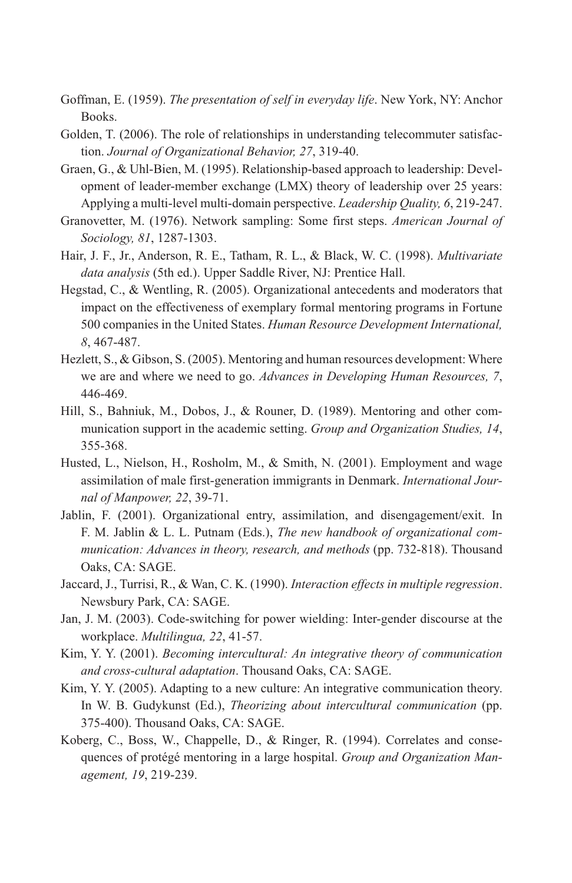- Goffman, E. (1959). *The presentation of self in everyday life*. New York, NY: Anchor Books.
- Golden, T. (2006). The role of relationships in understanding telecommuter satisfaction. *Journal of Organizational Behavior, 27*, 319-40.
- Graen, G., & Uhl-Bien, M. (1995). Relationship-based approach to leadership: Development of leader-member exchange (LMX) theory of leadership over 25 years: Applying a multi-level multi-domain perspective. *Leadership Quality, 6*, 219-247.
- Granovetter, M. (1976). Network sampling: Some first steps. *American Journal of Sociology, 81*, 1287-1303.
- Hair, J. F., Jr., Anderson, R. E., Tatham, R. L., & Black, W. C. (1998). *Multivariate data analysis* (5th ed.). Upper Saddle River, NJ: Prentice Hall.
- Hegstad, C., & Wentling, R. (2005). Organizational antecedents and moderators that impact on the effectiveness of exemplary formal mentoring programs in Fortune 500 companies in the United States. *Human Resource Development International, 8*, 467-487.
- Hezlett, S., & Gibson, S. (2005). Mentoring and human resources development: Where we are and where we need to go. *Advances in Developing Human Resources, 7*, 446-469.
- Hill, S., Bahniuk, M., Dobos, J., & Rouner, D. (1989). Mentoring and other communication support in the academic setting. *Group and Organization Studies, 14*, 355-368.
- Husted, L., Nielson, H., Rosholm, M., & Smith, N. (2001). Employment and wage assimilation of male first-generation immigrants in Denmark. *International Journal of Manpower, 22*, 39-71.
- Jablin, F. (2001). Organizational entry, assimilation, and disengagement/exit. In F. M. Jablin & L. L. Putnam (Eds.), *The new handbook of organizational communication: Advances in theory, research, and methods* (pp. 732-818). Thousand Oaks, CA: SAGE.
- Jaccard, J., Turrisi, R., & Wan, C. K. (1990). *Interaction effects in multiple regression*. Newsbury Park, CA: SAGE.
- Jan, J. M. (2003). Code-switching for power wielding: Inter-gender discourse at the workplace. *Multilingua, 22*, 41-57.
- Kim, Y. Y. (2001). *Becoming intercultural: An integrative theory of communication and cross-cultural adaptation*. Thousand Oaks, CA: SAGE.
- Kim, Y. Y. (2005). Adapting to a new culture: An integrative communication theory. In W. B. Gudykunst (Ed.), *Theorizing about intercultural communication* (pp. 375-400). Thousand Oaks, CA: SAGE.
- Koberg, C., Boss, W., Chappelle, D., & Ringer, R. (1994). Correlates and consequences of protégé mentoring in a large hospital. *Group and Organization Management, 19*, 219-239.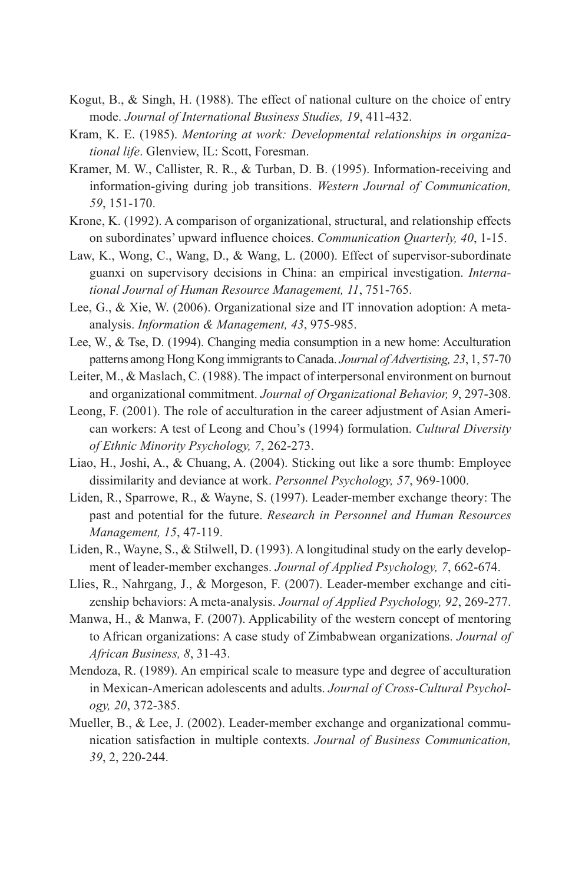- Kogut, B., & Singh, H. (1988). The effect of national culture on the choice of entry mode. *Journal of International Business Studies, 19*, 411-432.
- Kram, K. E. (1985). *Mentoring at work: Developmental relationships in organizational life*. Glenview, IL: Scott, Foresman.
- Kramer, M. W., Callister, R. R., & Turban, D. B. (1995). Information-receiving and information-giving during job transitions. *Western Journal of Communication, 59*, 151-170.
- Krone, K. (1992). A comparison of organizational, structural, and relationship effects on subordinates' upward influence choices. *Communication Quarterly, 40*, 1-15.
- Law, K., Wong, C., Wang, D., & Wang, L. (2000). Effect of supervisor-subordinate guanxi on supervisory decisions in China: an empirical investigation. *International Journal of Human Resource Management, 11*, 751-765.
- Lee, G., & Xie, W. (2006). Organizational size and IT innovation adoption: A metaanalysis. *Information & Management, 43*, 975-985.
- Lee, W., & Tse, D. (1994). Changing media consumption in a new home: Acculturation patterns among Hong Kong immigrants to Canada. *Journal of Advertising, 23*, 1, 57-70
- Leiter, M., & Maslach, C. (1988). The impact of interpersonal environment on burnout and organizational commitment. *Journal of Organizational Behavior, 9*, 297-308.
- Leong, F. (2001). The role of acculturation in the career adjustment of Asian American workers: A test of Leong and Chou's (1994) formulation. *Cultural Diversity of Ethnic Minority Psychology, 7*, 262-273.
- Liao, H., Joshi, A., & Chuang, A. (2004). Sticking out like a sore thumb: Employee dissimilarity and deviance at work. *Personnel Psychology, 57*, 969-1000.
- Liden, R., Sparrowe, R., & Wayne, S. (1997). Leader-member exchange theory: The past and potential for the future. *Research in Personnel and Human Resources Management, 15*, 47-119.
- Liden, R., Wayne, S., & Stilwell, D. (1993). A longitudinal study on the early development of leader-member exchanges. *Journal of Applied Psychology, 7*, 662-674.
- Llies, R., Nahrgang, J., & Morgeson, F. (2007). Leader-member exchange and citizenship behaviors: A meta-analysis. *Journal of Applied Psychology, 92*, 269-277.
- Manwa, H., & Manwa, F. (2007). Applicability of the western concept of mentoring to African organizations: A case study of Zimbabwean organizations. *Journal of African Business, 8*, 31-43.
- Mendoza, R. (1989). An empirical scale to measure type and degree of acculturation in Mexican-American adolescents and adults. *Journal of Cross-Cultural Psychology, 20*, 372-385.
- Mueller, B., & Lee, J. (2002). Leader-member exchange and organizational communication satisfaction in multiple contexts. *Journal of Business Communication, 39*, 2, 220-244.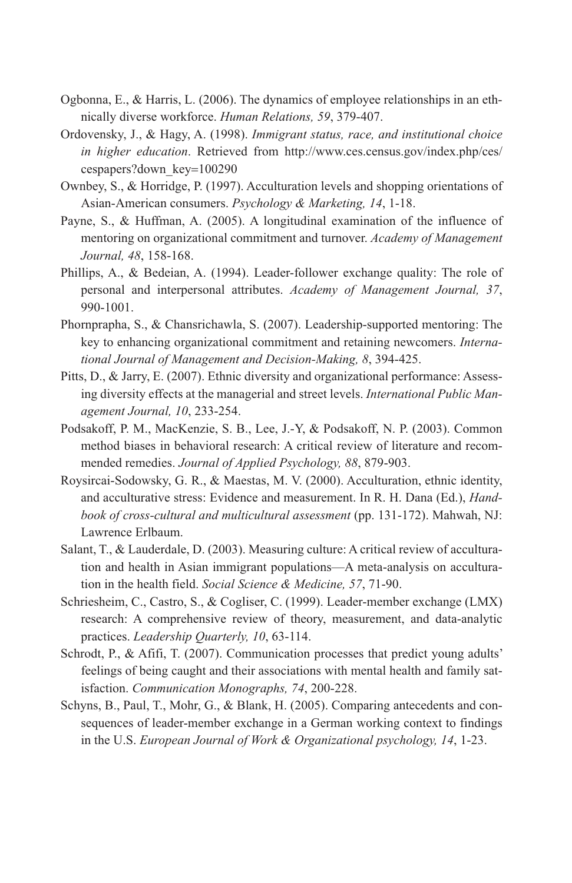- Ogbonna, E., & Harris, L. (2006). The dynamics of employee relationships in an ethnically diverse workforce. *Human Relations, 59*, 379-407.
- Ordovensky, J., & Hagy, A. (1998). *Immigrant status, race, and institutional choice in higher education*. Retrieved from http://www.ces.census.gov/index.php/ces/ cespapers?down\_key=100290
- Ownbey, S., & Horridge, P. (1997). Acculturation levels and shopping orientations of Asian-American consumers. *Psychology & Marketing, 14*, 1-18.
- Payne, S., & Huffman, A. (2005). A longitudinal examination of the influence of mentoring on organizational commitment and turnover. *Academy of Management Journal, 48*, 158-168.
- Phillips, A., & Bedeian, A. (1994). Leader-follower exchange quality: The role of personal and interpersonal attributes. *Academy of Management Journal, 37*, 990-1001.
- Phornprapha, S., & Chansrichawla, S. (2007). Leadership-supported mentoring: The key to enhancing organizational commitment and retaining newcomers. *International Journal of Management and Decision-Making, 8*, 394-425.
- Pitts, D., & Jarry, E. (2007). Ethnic diversity and organizational performance: Assessing diversity effects at the managerial and street levels. *International Public Management Journal, 10*, 233-254.
- Podsakoff, P. M., MacKenzie, S. B., Lee, J.-Y, & Podsakoff, N. P. (2003). Common method biases in behavioral research: A critical review of literature and recommended remedies. *Journal of Applied Psychology, 88*, 879-903.
- Roysircai-Sodowsky, G. R., & Maestas, M. V. (2000). Acculturation, ethnic identity, and acculturative stress: Evidence and measurement. In R. H. Dana (Ed.), *Handbook of cross-cultural and multicultural assessment* (pp. 131-172). Mahwah, NJ: Lawrence Erlbaum.
- Salant, T., & Lauderdale, D. (2003). Measuring culture: A critical review of acculturation and health in Asian immigrant populations—A meta-analysis on acculturation in the health field. *Social Science & Medicine, 57*, 71-90.
- Schriesheim, C., Castro, S., & Cogliser, C. (1999). Leader-member exchange (LMX) research: A comprehensive review of theory, measurement, and data-analytic practices. *Leadership Quarterly, 10*, 63-114.
- Schrodt, P., & Afifi, T. (2007). Communication processes that predict young adults' feelings of being caught and their associations with mental health and family satisfaction. *Communication Monographs, 74*, 200-228.
- Schyns, B., Paul, T., Mohr, G., & Blank, H. (2005). Comparing antecedents and consequences of leader-member exchange in a German working context to findings in the U.S. *European Journal of Work & Organizational psychology, 14*, 1-23.